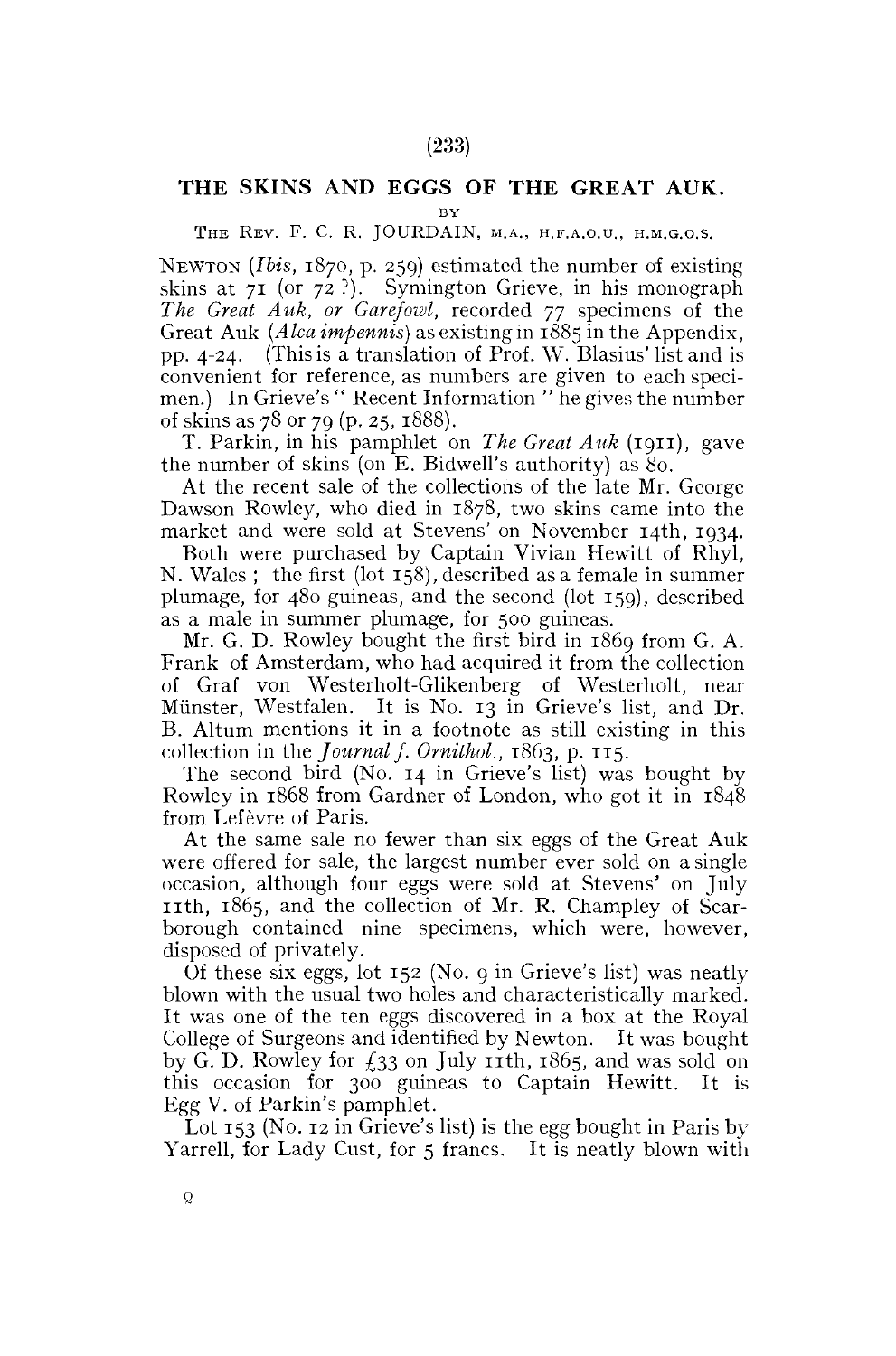## THE SKINS AND EGGS OF THE GREAT AUK.

**BY** 

## THE REV. F. C. R. JOURDAIN, M.A., H.F.A.O.U., H.M.G.O.S.

NEWTON *(Ibis,* 1870, p. 259) estimated the number of existing skins at 71 (or 72 ?). Symington Grieve, in his monograph *The Great Auk, or Garefowl,* recorded 77 specimens of the Great Auk *(Alca impennis)* as existing in 1885 in the Appendix, pp. 4-24. (This is a translation of Prof. W. Blasius'list and is convenient for reference, as numbers are given to each specimen.) In Grieve's " Recent Information " he gives the number of skins as 78 or 79 (p. 25, 1888).

T. Parkin, in his pamphlet on *The Great Auk* (1911), gave the number of skins (on E. Bidwell's authority) as 80.

At the recent sale of the collections of the late Mr. George Dawson Rowley, who died in 1878, two skins came into the market and were sold at Stevens' on November 14th, 1934.

Both were purchased by Captain Vivian Hewitt of Rhyl, N. Wales ; the first (lot 158), described as a female in summer plumage, for 480 guineas, and the second (lot 159), described as a male in summer plumage, for 500 guineas.

Mr. G. D. Rowley bought the first bird in 1869 from G. A. Frank of Amsterdam, who had acquired it from the collection of Graf von Westerholt-Glikenberg of Westerholt, near Minister, Westfalen. It is No. 13 in Grieve's list, and Dr. B. Altum mentions it in a footnote as still existing in this collection in the *Journal f. Ornithol.,* 1863, p. 115.

The second bird (No. 14 in Grieve's list) was bought by Rowley in 1868 from Gardner of London, who got it in 1848 from Lefèvre of Paris.

At the same sale no fewer than six eggs of the Great Auk were offered for sale, the largest number ever sold on a single occasion, although four eggs were sold at Stevens' on July 11th, 1865, and the collection of Mr. R. Champley of Scarborough contained nine specimens, which were, however, disposed of privately.

Of these six eggs, lot 152 (No. 9 in Grieve's list) was neatly blown with the usual two holes and characteristically marked. It was one of the ten eggs discovered in a box at the Royal College of Surgeons and identified by Newton. It was bought by G. D. Rowley for  $f_{33}$  on July 11th, 1865, and was sold on this occasion for 300 guineas to Captain Hewitt. It is Egg V. of Parkin's pamphlet.

Lot 153 (No. 12 in Grieve's list) is the egg bought in Paris by Yarrell, for Lady Cust, for 5 francs. It is neatly blown with